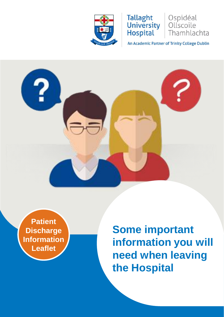

**Tallaght University Hospital** 

An Academic Partner of Trinity College Dublin

Ospidéal

Ollscoile

Thamhlachta



**Patient Discharge Information Leaflet**

**Some important information you will need when leaving the Hospital**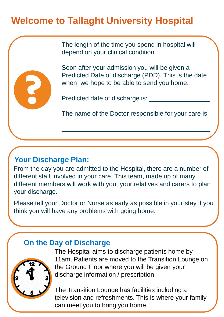# **Welcome to Tallaght University Hospital**

The length of the time you spend in hospital will depend on your clinical condition.



Soon after your admission you will be given a Predicted Date of discharge (PDD). This is the date when we hope to be able to send you home.

Predicted date of discharge is:

The name of the Doctor responsible for your care is:

\_\_\_\_\_\_\_\_\_\_\_\_\_\_\_\_\_\_\_\_\_\_\_\_\_\_\_\_\_\_\_\_\_\_\_\_\_\_\_\_\_\_

# **Your Discharge Plan:**

From the day you are admitted to the Hospital, there are a number of different staff involved in your care. This team, made up of many different members will work with you, your relatives and carers to plan your discharge.

Please tell your Doctor or Nurse as early as possible in your stay if you think you will have any problems with going home.

# **On the Day of Discharge**



The Hospital aims to discharge patients home by 11am. Patients are moved to the Transition Lounge on the Ground Floor where you will be given your discharge information / prescription.

The Transition Lounge has facilities including a television and refreshments. This is where your family can meet you to bring you home.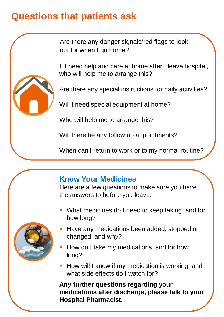# **Questions that patients ask**

Are there any danger signals/red flags to look out for when I go home?

If I need help and care at home after I leave hospital, who will help me to arrange this?



Are there any special instructions for daily activities?

Will I need special equipment at home?

Who will help me to arrange this?

Will there be any follow up appointments?

When can I return to work or to my normal routine?

#### **Know Your Medicines**

Here are a few questions to make sure you have the answers to before you leave.

 What medicines do I need to keep taking, and for how long?



- **Have any medications been added, stopped or** changed, and why?
- **How do I take my medications, and for how** long?
- **-** How will I know if my medication is working, and what side effects do I watch for?

**Any further questions regarding your medications after discharge, please talk to your Hospital Pharmacist.**